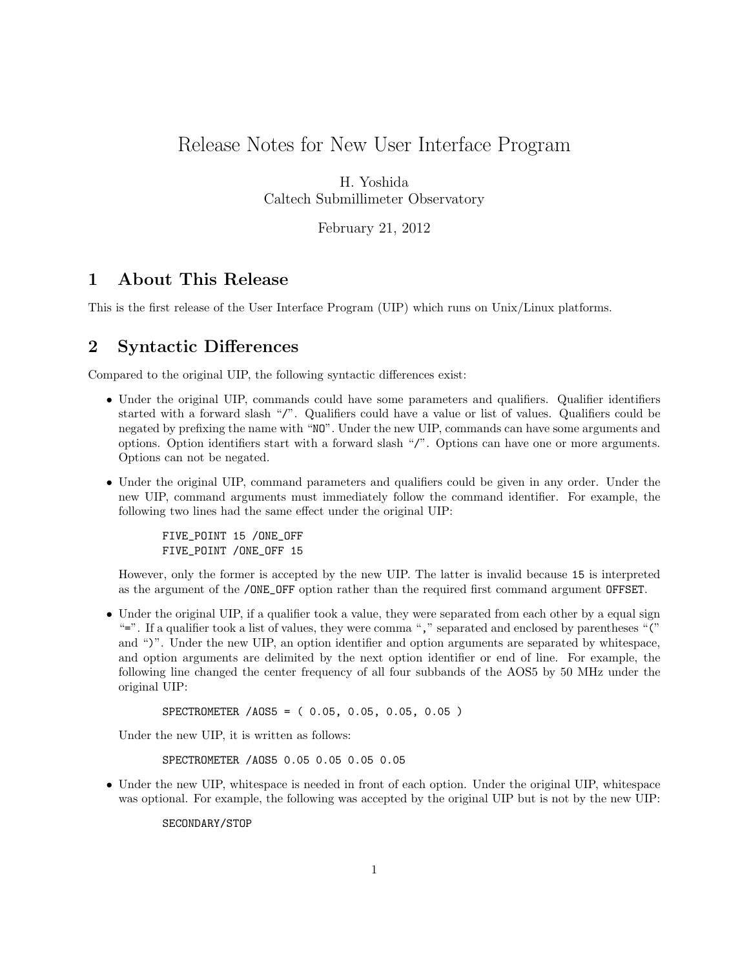# <span id="page-0-0"></span>Release Notes for New User Interface Program

H. Yoshida Caltech Submillimeter Observatory

February 21, 2012

### 1 About This Release

This is the first release of the User Interface Program (UIP) which runs on Unix/Linux platforms.

#### 2 Syntactic Differences

Compared to the original UIP, the following syntactic differences exist:

- Under the original UIP, commands could have some parameters and qualifiers. Qualifier identifiers started with a forward slash "/". Qualifiers could have a value or list of values. Qualifiers could be negated by prefixing the name with "NO". Under the new UIP, commands can have some arguments and options. Option identifiers start with a forward slash "/". Options can have one or more arguments. Options can not be negated.
- Under the original UIP, command parameters and qualifiers could be given in any order. Under the new UIP, command arguments must immediately follow the command identifier. For example, the following two lines had the same effect under the original UIP:

FIVE\_POINT 15 /ONE\_OFF FIVE\_POINT /ONE\_OFF 15

However, only the former is accepted by the new UIP. The latter is invalid because 15 is interpreted as the argument of the /ONE\_OFF option rather than the required first command argument OFFSET.

• Under the original UIP, if a qualifier took a value, they were separated from each other by a equal sign "=". If a qualifier took a list of values, they were comma "," separated and enclosed by parentheses "(" and ")". Under the new UIP, an option identifier and option arguments are separated by whitespace, and option arguments are delimited by the next option identifier or end of line. For example, the following line changed the center frequency of all four subbands of the AOS5 by 50 MHz under the original UIP:

SPECTROMETER /AOS5 = ( 0.05, 0.05, 0.05, 0.05 )

Under the new UIP, it is written as follows:

```
SPECTROMETER /AOS5 0.05 0.05 0.05 0.05
```
• Under the new UIP, whitespace is needed in front of each option. Under the original UIP, whitespace was optional. For example, the following was accepted by the original UIP but is not by the new UIP:

SECONDARY/STOP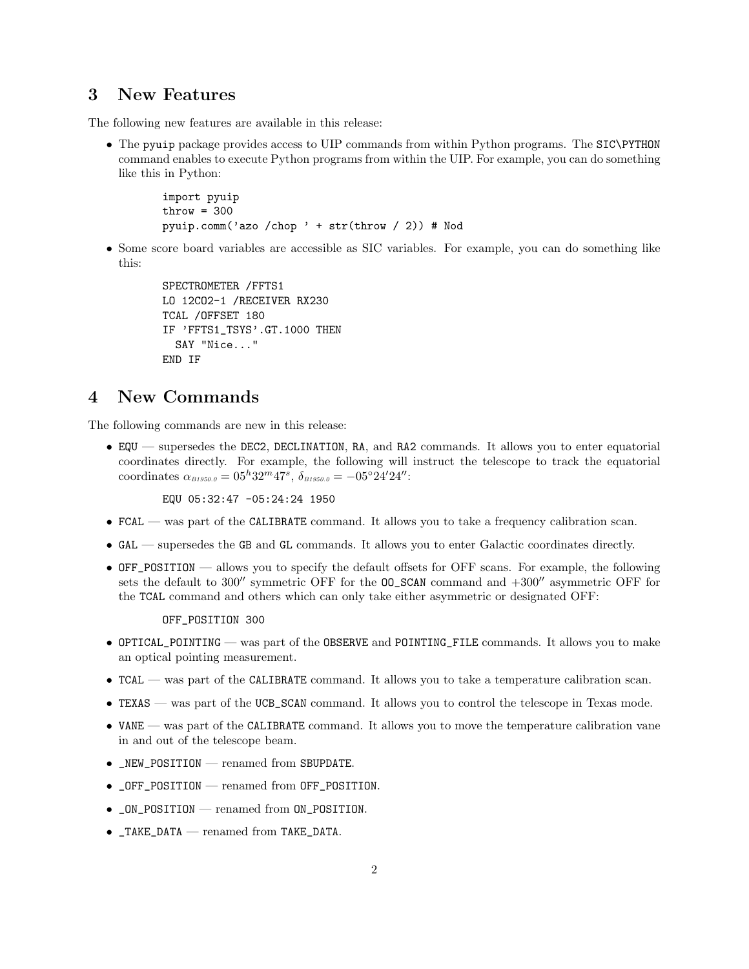#### 3 New Features

The following new features are available in this release:

• The pyuip package provides access to UIP commands from within Python programs. The SIC\PYTHON command enables to execute Python programs from within the UIP. For example, you can do something like this in Python:

```
import pyuip
\text{throw} = 300pyuip.comm('azo /chop ' + str(throw / 2)) # Nod
```
• Some score board variables are accessible as SIC variables. For example, you can do something like this:

```
SPECTROMETER /FFTS1
LO 12CO2-1 /RECEIVER RX230
TCAL /OFFSET 180
IF 'FFTS1_TSYS'.GT.1000 THEN
 SAY "Nice..."
END IF
```
### 4 New Commands

The following commands are new in this release:

• EQU — supersedes the DEC2, DECLINATION, RA, and RA2 commands. It allows you to enter equatorial coordinates directly. For example, the following will instruct the telescope to track the equatorial coordinates  $\alpha_{\text{B1950.0}} = 05^h 32^m 47^s$ ,  $\delta_{\text{B1950.0}} = -05°24' 24''$ :

EQU 05:32:47 -05:24:24 1950

- FCAL was part of the CALIBRATE command. It allows you to take a frequency calibration scan.
- GAL supersedes the GB and GL commands. It allows you to enter Galactic coordinates directly.
- OFF\_POSITION allows you to specify the default offsets for OFF scans. For example, the following sets the default to 300′′ symmetric OFF for the OO\_SCAN command and +300′′ asymmetric OFF for the TCAL command and others which can only take either asymmetric or designated OFF:

OFF\_POSITION 300

- OPTICAL\_POINTING was part of the OBSERVE and POINTING\_FILE commands. It allows you to make an optical pointing measurement.
- TCAL was part of the CALIBRATE command. It allows you to take a temperature calibration scan.
- TEXAS was part of the UCB\_SCAN command. It allows you to control the telescope in Texas mode.
- VANE was part of the CALIBRATE command. It allows you to move the temperature calibration vane in and out of the telescope beam.
- \_NEW\_POSITION renamed from SBUPDATE.
- \_OFF\_POSITION renamed from OFF\_POSITION.
- \_ON\_POSITION renamed from ON\_POSITION.
- \_TAKE\_DATA renamed from TAKE\_DATA.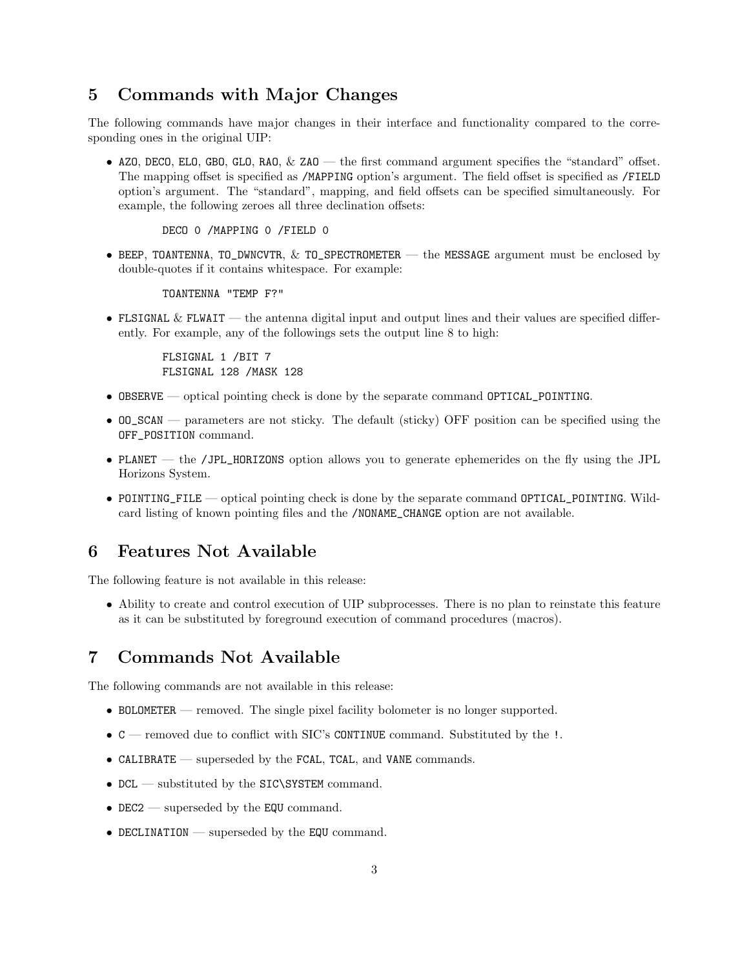#### 5 Commands with Major Changes

The following commands have major changes in their interface and functionality compared to the corresponding ones in the original UIP:

• AZO, DECO, ELO, GBO, GLO, RAO,  $&$  ZAO — the first command argument specifies the "standard" offset. The mapping offset is specified as /MAPPING option's argument. The field offset is specified as /FIELD option's argument. The "standard", mapping, and field offsets can be specified simultaneously. For example, the following zeroes all three declination offsets:

DECO 0 /MAPPING 0 /FIELD 0

• BEEP, TOANTENNA, TO\_DWNCVTR, & TO\_SPECTROMETER — the MESSAGE argument must be enclosed by double-quotes if it contains whitespace. For example:

TOANTENNA "TEMP F?"

• FLSIGNAL & FLWAIT — the antenna digital input and output lines and their values are specified differently. For example, any of the followings sets the output line 8 to high:

FLSIGNAL 1 /BIT 7 FLSIGNAL 128 /MASK 128

- OBSERVE optical pointing check is done by the separate command OPTICAL\_POINTING.
- OO\_SCAN parameters are not sticky. The default (sticky) OFF position can be specified using the OFF\_POSITION command.
- PLANET the /JPL\_HORIZONS option allows you to generate ephemerides on the fly using the JPL Horizons System.
- POINTING\_FILE optical pointing check is done by the separate command OPTICAL\_POINTING. Wildcard listing of known pointing files and the /NONAME\_CHANGE option are not available.

### 6 Features Not Available

The following feature is not available in this release:

• Ability to create and control execution of UIP subprocesses. There is no plan to reinstate this feature as it can be substituted by foreground execution of command procedures (macros).

### 7 Commands Not Available

The following commands are not available in this release:

- BOLOMETER removed. The single pixel facility bolometer is no longer supported.
- C removed due to conflict with SIC's CONTINUE command. Substituted by the !.
- CALIBRATE superseded by the FCAL, TCAL, and VANE commands.
- DCL substituted by the SIC\SYSTEM command.
- DEC2 superseded by the EQU command.
- DECLINATION superseded by the EQU command.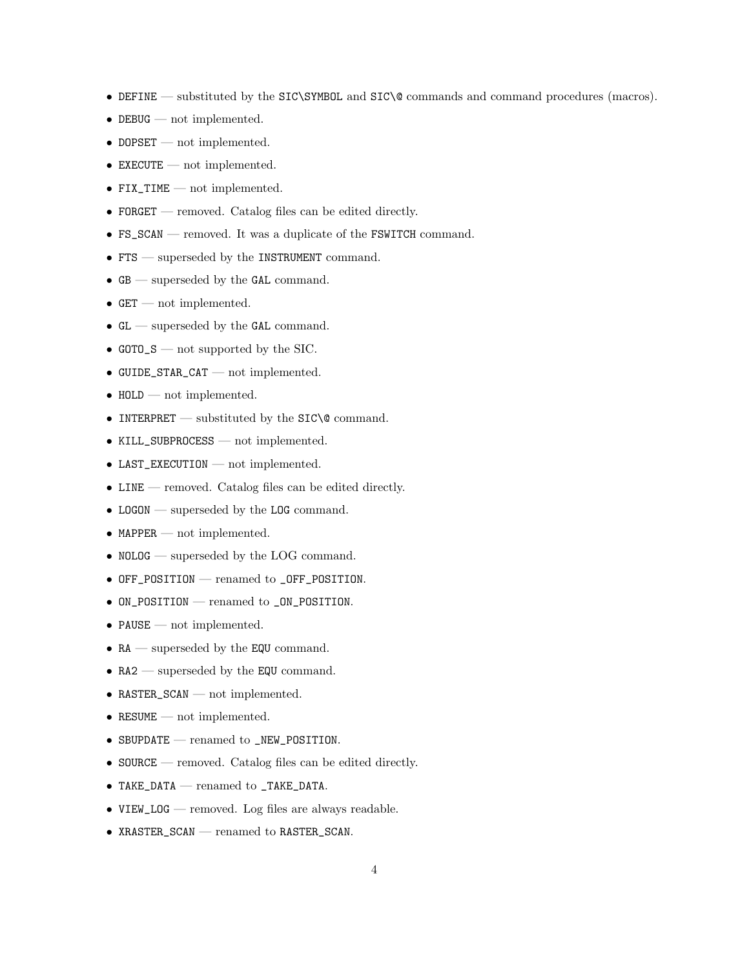- DEFINE substituted by the SIC\SYMBOL and SIC\@ commands and command procedures (macros).
- DEBUG not implemented.
- DOPSET not implemented.
- EXECUTE not implemented.
- FIX\_TIME not implemented.
- FORGET removed. Catalog files can be edited directly.
- FS\_SCAN removed. It was a duplicate of the FSWITCH command.
- FTS superseded by the INSTRUMENT command.
- GB superseded by the GAL command.
- GET not implemented.
- GL superseded by the GAL command.
- GOTO\_S not supported by the SIC.
- GUIDE\_STAR\_CAT not implemented.
- HOLD not implemented.
- $\bullet\,$  INTERPRET substituted by the SIC\@ command.
- KILL\_SUBPROCESS not implemented.
- LAST\_EXECUTION not implemented.
- LINE removed. Catalog files can be edited directly.
- LOGON superseded by the LOG command.
- MAPPER not implemented.
- NOLOG superseded by the LOG command.
- OFF\_POSITION renamed to \_OFF\_POSITION.
- ON\_POSITION renamed to \_ON\_POSITION.
- PAUSE not implemented.
- RA superseded by the EQU command.
- RA2 superseded by the EQU command.
- RASTER\_SCAN not implemented.
- RESUME not implemented.
- SBUPDATE renamed to \_NEW\_POSITION.
- SOURCE removed. Catalog files can be edited directly.
- TAKE\_DATA renamed to \_TAKE\_DATA.
- VIEW\_LOG removed. Log files are always readable.
- XRASTER\_SCAN renamed to RASTER\_SCAN.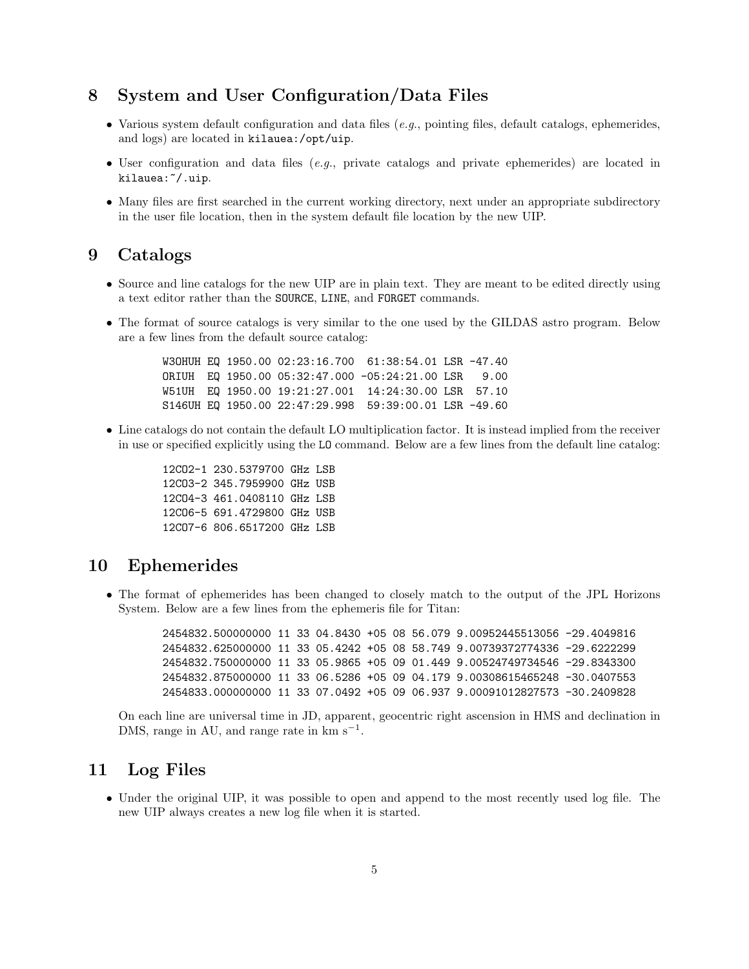### 8 System and User Configuration/Data Files

- Various system default configuration and data files  $(e.g.,$  pointing files, default catalogs, ephemerides, and logs) are located in kilauea:/opt/uip.
- User configuration and data files  $(e,q)$ , private catalogs and private ephemerides) are located in kilauea:~/.uip.
- Many files are first searched in the current working directory, next under an appropriate subdirectory in the user file location, then in the system default file location by the new UIP.

#### 9 Catalogs

- Source and line catalogs for the new UIP are in plain text. They are meant to be edited directly using a text editor rather than the SOURCE, LINE, and FORGET commands.
- The format of source catalogs is very similar to the one used by the GILDAS astro program. Below are a few lines from the default source catalog:

W3OHUH EQ 1950.00 02:23:16.700 61:38:54.01 LSR -47.40 ORIUH EQ 1950.00 05:32:47.000 -05:24:21.00 LSR 9.00 W51UH EQ 1950.00 19:21:27.001 14:24:30.00 LSR 57.10 S146UH EQ 1950.00 22:47:29.998 59:39:00.01 LSR -49.60

• Line catalogs do not contain the default LO multiplication factor. It is instead implied from the receiver in use or specified explicitly using the LO command. Below are a few lines from the default line catalog:

> 12CO2-1 230.5379700 GHz LSB 12CO3-2 345.7959900 GHz USB 12CO4-3 461.0408110 GHz LSB 12CO6-5 691.4729800 GHz USB 12CO7-6 806.6517200 GHz LSB

#### 10 Ephemerides

• The format of ephemerides has been changed to closely match to the output of the JPL Horizons System. Below are a few lines from the ephemeris file for Titan:

> 2454832.500000000 11 33 04.8430 +05 08 56.079 9.00952445513056 -29.4049816 2454832.625000000 11 33 05.4242 +05 08 58.749 9.00739372774336 -29.6222299 2454832.750000000 11 33 05.9865 +05 09 01.449 9.00524749734546 -29.8343300 2454832.875000000 11 33 06.5286 +05 09 04.179 9.00308615465248 -30.0407553 2454833.000000000 11 33 07.0492 +05 09 06.937 9.00091012827573 -30.2409828

On each line are universal time in JD, apparent, geocentric right ascension in HMS and declination in DMS, range in AU, and range rate in  $km s^{-1}$ .

#### 11 Log Files

• Under the original UIP, it was possible to open and append to the most recently used log file. The new UIP always creates a new log file when it is started.